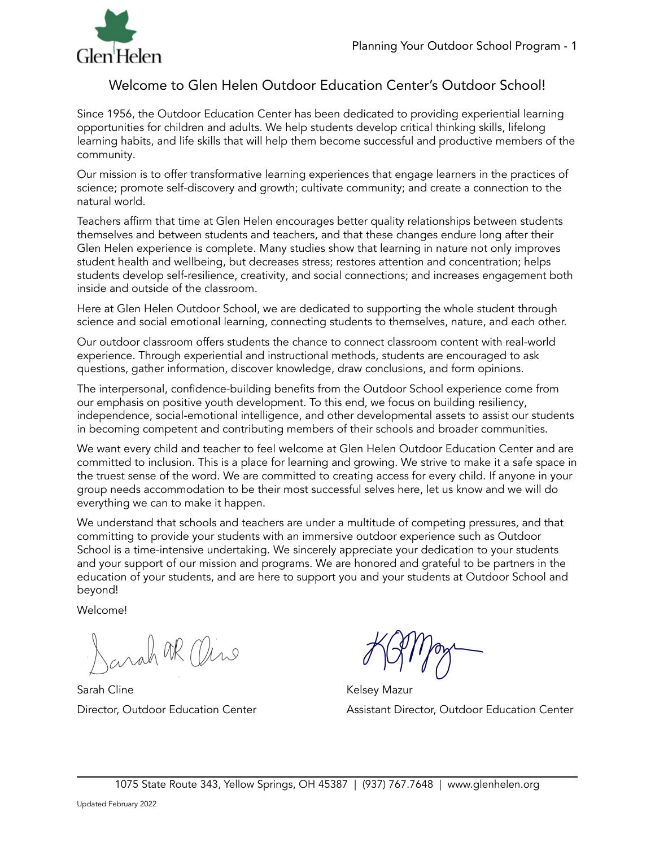

# Welcome to Glen Helen Outdoor Education Center's Outdoor School!

Since 1956, the Outdoor Education Center has been dedicated to providing experiential learning opportunities for children and adults. We help students develop critical thinking skills, lifelong learning habits, and life skills that will help them become successful and productive members of the community.

Our mission is to offer transformative learning experiences that engage learners in the practices of science; promote self-discovery and growth; cultivate community; and create a connection to the natural world.

Teachers affirm that time at Glen Helen encourages better quality relationships between students themselves and between students and teachers, and that these changes endure long after their Glen Helen experience is complete. Many studies show that learning in nature not only improves student health and wellbeing, but decreases stress; restores attention and concentration; helps students develop self-resilience, creativity, and social connections; and increases engagement both inside and outside of the classroom.

Here at Glen Helen Outdoor School, we are dedicated to supporting the whole student through science and social emotional learning, connecting students to themselves, nature, and each other.

Our outdoor classroom offers students the chance to connect classroom content with real-world experience. Through experiential and instructional methods, students are encouraged to ask questions, gather information, discover knowledge, draw conclusions, and form opinions.

The interpersonal, confidence-building benefits from the Outdoor School experience come from our emphasis on positive youth development. To this end, we focus on building resiliency, independence, social-emotional intelligence, and other developmental assets to assist our students in becoming competent and contributing members of their schools and broader communities.

We want every child and teacher to feel welcome at Glen Helen Outdoor Education Center and are committed to inclusion. This is a place for learning and growing. We strive to make it a safe space in the truest sense of the word. We are committed to creating access for every child. If anyone in your group needs accommodation to be their most successful selves here, let us know and we will do everything we can to make it happen.

We understand that schools and teachers are under a multitude of competing pressures, and that committing to provide your students with an immersive outdoor experience such as Outdoor School is a time-intensive undertaking. We sincerely appreciate your dedication to your students and your support of our mission and programs. We are honored and grateful to be partners in the education of your students, and are here to support you and your students at Outdoor School and beyond!

Welcome!

grah OR Oire

Sarah Cline **Kelsey Mazur Kelsey Mazur** 

Director, Outdoor Education Center Assistant Director, Outdoor Education Center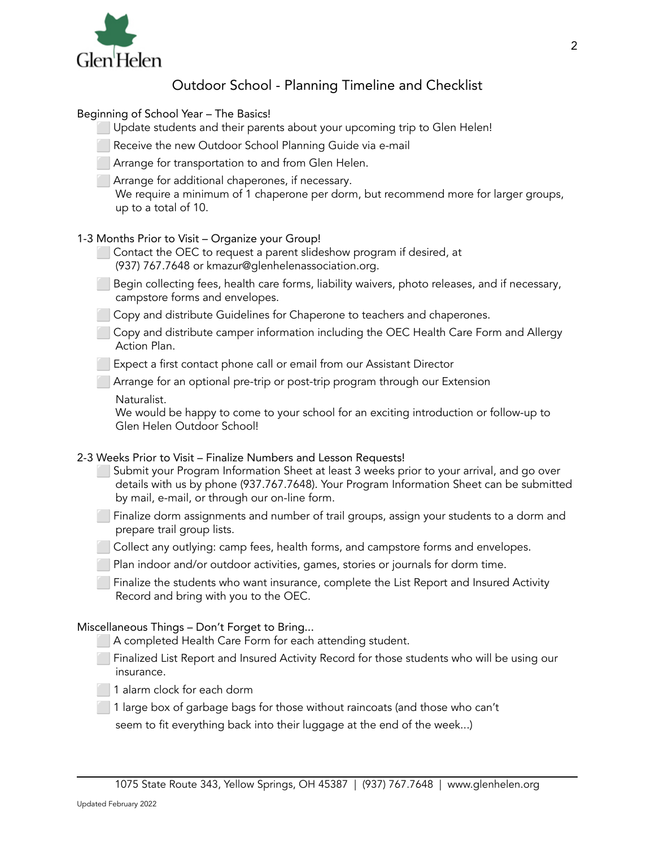

# Outdoor School - Planning Timeline and Checklist

# Beginning of School Year – The Basics!

Update students and their parents about your upcoming trip to Glen Helen!

Receive the new Outdoor School Planning Guide via e-mail

Arrange for transportation to and from Glen Helen.

⬜ Arrange for additional chaperones, if necessary.

We require a minimum of 1 chaperone per dorm, but recommend more for larger groups, up to a total of 10.

# 1-3 Months Prior to Visit – Organize your Group!

Contact the OEC to request a parent slideshow program if desired, at (937) 767.7648 or kmazur@glenhelenassociation.org.

⬜ Begin collecting fees, health care forms, liability waivers, photo releases, and if necessary, campstore forms and envelopes.

Copy and distribute Guidelines for Chaperone to teachers and chaperones.

⬜ Copy and distribute camper information including the OEC Health Care Form and Allergy Action Plan.

**Expect a first contact phone call or email from our Assistant Director** 

**Arrange for an optional pre-trip or post-trip program through our Extension** 

Naturalist.

We would be happy to come to your school for an exciting introduction or follow-up to Glen Helen Outdoor School!

# 2-3 Weeks Prior to Visit – Finalize Numbers and Lesson Requests!

- Submit your Program Information Sheet at least 3 weeks prior to your arrival, and go over details with us by phone (937.767.7648). Your Program Information Sheet can be submitted by mail, e-mail, or through our on-line form.
- Finalize dorm assignments and number of trail groups, assign your students to a dorm and prepare trail group lists.
- Collect any outlying: camp fees, health forms, and campstore forms and envelopes.

**Plan indoor and/or outdoor activities, games, stories or journals for dorm time.** 

**Finalize the students who want insurance, complete the List Report and Insured Activity** Record and bring with you to the OEC.

# Miscellaneous Things – Don't Forget to Bring...

⬜ A completed Health Care Form for each attending student.

**The Finalized List Report and Insured Activity Record for those students who will be using our** insurance.

1 alarm clock for each dorm

⬜ 1 large box of garbage bags for those without raincoats (and those who can't

seem to fit everything back into their luggage at the end of the week...)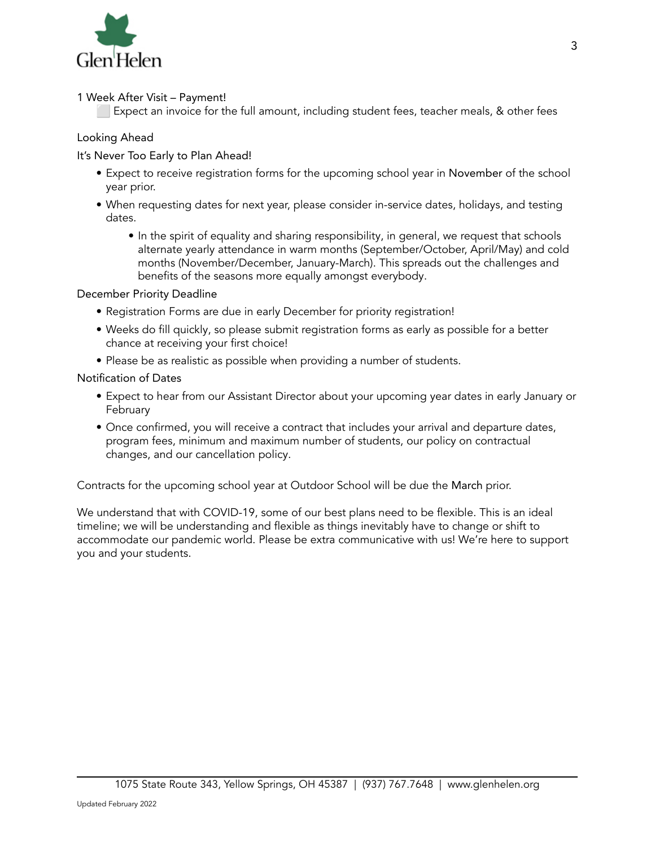

## 1 Week After Visit – Payment!

Expect an invoice for the full amount, including student fees, teacher meals, & other fees

# Looking Ahead

## It's Never Too Early to Plan Ahead!

- Expect to receive registration forms for the upcoming school year in November of the school year prior.
- When requesting dates for next year, please consider in-service dates, holidays, and testing dates.
	- In the spirit of equality and sharing responsibility, in general, we request that schools alternate yearly attendance in warm months (September/October, April/May) and cold months (November/December, January-March). This spreads out the challenges and benefits of the seasons more equally amongst everybody.

## December Priority Deadline

- Registration Forms are due in early December for priority registration!
- Weeks do fill quickly, so please submit registration forms as early as possible for a better chance at receiving your first choice!
- Please be as realistic as possible when providing a number of students.

## Notification of Dates

- Expect to hear from our Assistant Director about your upcoming year dates in early January or February
- Once confirmed, you will receive a contract that includes your arrival and departure dates, program fees, minimum and maximum number of students, our policy on contractual changes, and our cancellation policy.

Contracts for the upcoming school year at Outdoor School will be due the March prior.

We understand that with COVID-19, some of our best plans need to be flexible. This is an ideal timeline; we will be understanding and flexible as things inevitably have to change or shift to accommodate our pandemic world. Please be extra communicative with us! We're here to support you and your students.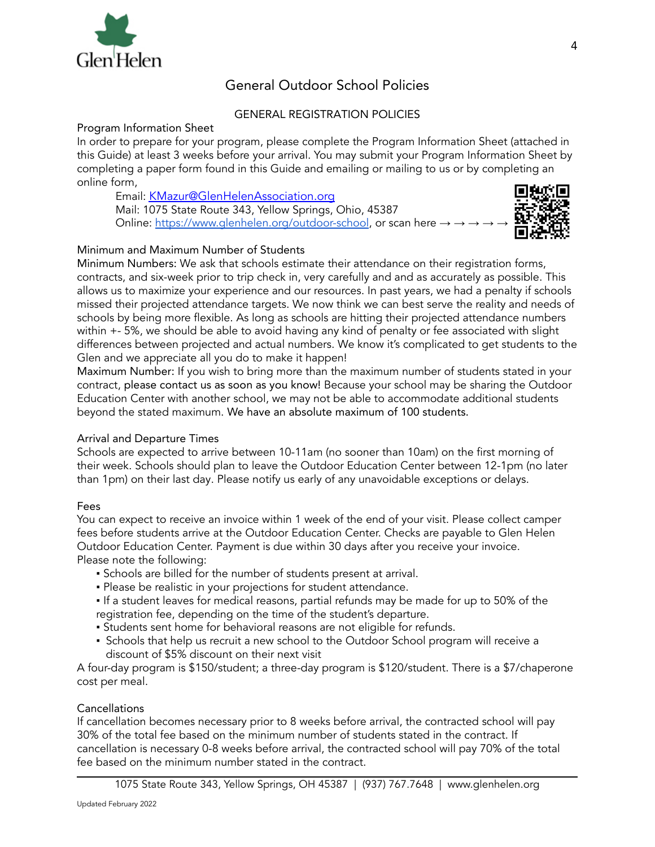

# General Outdoor School Policies

# GENERAL REGISTRATION POLICIES

#### Program Information Sheet

In order to prepare for your program, please complete the Program Information Sheet (attached in this Guide) at least 3 weeks before your arrival. You may submit your Program Information Sheet by completing a paper form found in this Guide and emailing or mailing to us or by completing an online form,

Email: [KMazur@GlenHelenAssociation.org](mailto:KMazur@GlenHelenAssociation.org) Mail: 1075 State Route 343, Yellow Springs, Ohio, 45387 Online: <https://www.glenhelen.org/outdoor-school>, or scan here →



# Minimum and Maximum Number of Students

Minimum Numbers: We ask that schools estimate their attendance on their registration forms, contracts, and six-week prior to trip check in, very carefully and and as accurately as possible. This allows us to maximize your experience and our resources. In past years, we had a penalty if schools missed their projected attendance targets. We now think we can best serve the reality and needs of schools by being more flexible. As long as schools are hitting their projected attendance numbers within +- 5%, we should be able to avoid having any kind of penalty or fee associated with slight differences between projected and actual numbers. We know it's complicated to get students to the Glen and we appreciate all you do to make it happen!

Maximum Number: If you wish to bring more than the maximum number of students stated in your contract, please contact us as soon as you know! Because your school may be sharing the Outdoor Education Center with another school, we may not be able to accommodate additional students beyond the stated maximum. We have an absolute maximum of 100 students.

# Arrival and Departure Times

Schools are expected to arrive between 10-11am (no sooner than 10am) on the first morning of their week. Schools should plan to leave the Outdoor Education Center between 12-1pm (no later than 1pm) on their last day. Please notify us early of any unavoidable exceptions or delays.

# Fees

You can expect to receive an invoice within 1 week of the end of your visit. Please collect camper fees before students arrive at the Outdoor Education Center. Checks are payable to Glen Helen Outdoor Education Center. Payment is due within 30 days after you receive your invoice. Please note the following:

- Schools are billed for the number of students present at arrival.
- Please be realistic in your projections for student attendance.
- If a student leaves for medical reasons, partial refunds may be made for up to 50% of the registration fee, depending on the time of the student's departure.
- Students sent home for behavioral reasons are not eligible for refunds.
- Schools that help us recruit a new school to the Outdoor School program will receive a discount of \$5% discount on their next visit

A four-day program is \$150/student; a three-day program is \$120/student. There is a \$7/chaperone cost per meal.

# Cancellations

If cancellation becomes necessary prior to 8 weeks before arrival, the contracted school will pay 30% of the total fee based on the minimum number of students stated in the contract. If cancellation is necessary 0-8 weeks before arrival, the contracted school will pay 70% of the total fee based on the minimum number stated in the contract.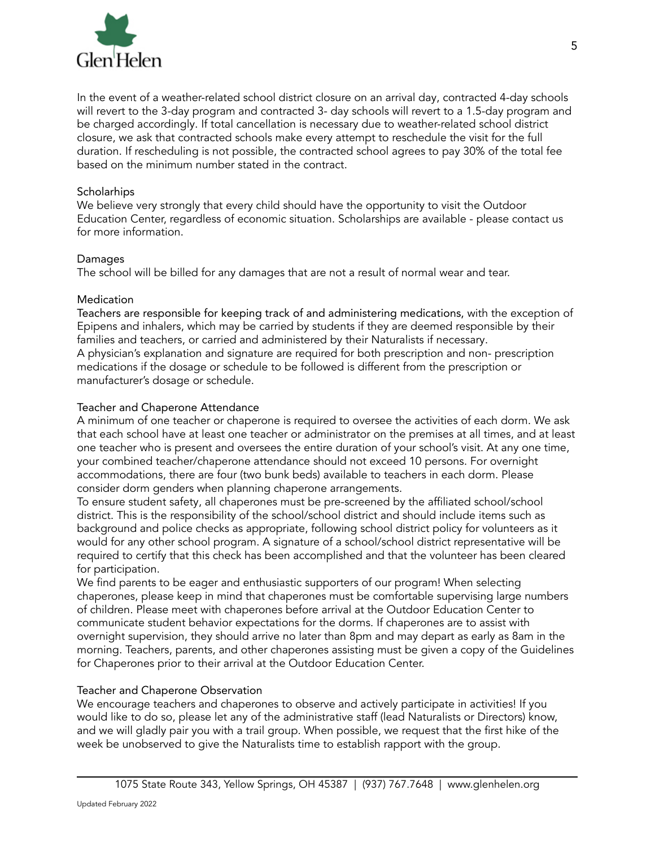

In the event of a weather-related school district closure on an arrival day, contracted 4-day schools will revert to the 3-day program and contracted 3- day schools will revert to a 1.5-day program and be charged accordingly. If total cancellation is necessary due to weather-related school district closure, we ask that contracted schools make every attempt to reschedule the visit for the full duration. If rescheduling is not possible, the contracted school agrees to pay 30% of the total fee based on the minimum number stated in the contract.

#### **Scholarhips**

We believe very strongly that every child should have the opportunity to visit the Outdoor Education Center, regardless of economic situation. Scholarships are available - please contact us for more information.

## Damages

The school will be billed for any damages that are not a result of normal wear and tear.

## **Medication**

Teachers are responsible for keeping track of and administering medications, with the exception of Epipens and inhalers, which may be carried by students if they are deemed responsible by their families and teachers, or carried and administered by their Naturalists if necessary. A physician's explanation and signature are required for both prescription and non- prescription medications if the dosage or schedule to be followed is different from the prescription or manufacturer's dosage or schedule.

## Teacher and Chaperone Attendance

A minimum of one teacher or chaperone is required to oversee the activities of each dorm. We ask that each school have at least one teacher or administrator on the premises at all times, and at least one teacher who is present and oversees the entire duration of your school's visit. At any one time, your combined teacher/chaperone attendance should not exceed 10 persons. For overnight accommodations, there are four (two bunk beds) available to teachers in each dorm. Please consider dorm genders when planning chaperone arrangements.

To ensure student safety, all chaperones must be pre-screened by the affiliated school/school district. This is the responsibility of the school/school district and should include items such as background and police checks as appropriate, following school district policy for volunteers as it would for any other school program. A signature of a school/school district representative will be required to certify that this check has been accomplished and that the volunteer has been cleared for participation.

We find parents to be eager and enthusiastic supporters of our program! When selecting chaperones, please keep in mind that chaperones must be comfortable supervising large numbers of children. Please meet with chaperones before arrival at the Outdoor Education Center to communicate student behavior expectations for the dorms. If chaperones are to assist with overnight supervision, they should arrive no later than 8pm and may depart as early as 8am in the morning. Teachers, parents, and other chaperones assisting must be given a copy of the Guidelines for Chaperones prior to their arrival at the Outdoor Education Center.

# Teacher and Chaperone Observation

We encourage teachers and chaperones to observe and actively participate in activities! If you would like to do so, please let any of the administrative staff (lead Naturalists or Directors) know, and we will gladly pair you with a trail group. When possible, we request that the first hike of the week be unobserved to give the Naturalists time to establish rapport with the group.

5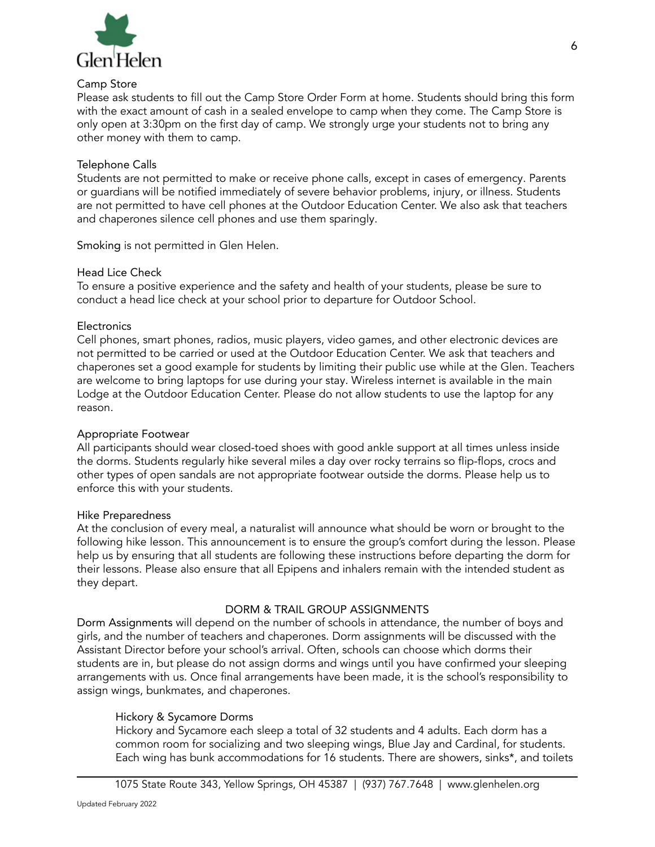

#### Camp Store

Please ask students to fill out the Camp Store Order Form at home. Students should bring this form with the exact amount of cash in a sealed envelope to camp when they come. The Camp Store is only open at 3:30pm on the first day of camp. We strongly urge your students not to bring any other money with them to camp.

## Telephone Calls

Students are not permitted to make or receive phone calls, except in cases of emergency. Parents or guardians will be notified immediately of severe behavior problems, injury, or illness. Students are not permitted to have cell phones at the Outdoor Education Center. We also ask that teachers and chaperones silence cell phones and use them sparingly.

Smoking is not permitted in Glen Helen.

## Head Lice Check

To ensure a positive experience and the safety and health of your students, please be sure to conduct a head lice check at your school prior to departure for Outdoor School.

## **Electronics**

Cell phones, smart phones, radios, music players, video games, and other electronic devices are not permitted to be carried or used at the Outdoor Education Center. We ask that teachers and chaperones set a good example for students by limiting their public use while at the Glen. Teachers are welcome to bring laptops for use during your stay. Wireless internet is available in the main Lodge at the Outdoor Education Center. Please do not allow students to use the laptop for any reason.

#### Appropriate Footwear

All participants should wear closed-toed shoes with good ankle support at all times unless inside the dorms. Students regularly hike several miles a day over rocky terrains so flip-flops, crocs and other types of open sandals are not appropriate footwear outside the dorms. Please help us to enforce this with your students.

#### Hike Preparedness

At the conclusion of every meal, a naturalist will announce what should be worn or brought to the following hike lesson. This announcement is to ensure the group's comfort during the lesson. Please help us by ensuring that all students are following these instructions before departing the dorm for their lessons. Please also ensure that all Epipens and inhalers remain with the intended student as they depart.

#### DORM & TRAIL GROUP ASSIGNMENTS

Dorm Assignments will depend on the number of schools in attendance, the number of boys and girls, and the number of teachers and chaperones. Dorm assignments will be discussed with the Assistant Director before your school's arrival. Often, schools can choose which dorms their students are in, but please do not assign dorms and wings until you have confirmed your sleeping arrangements with us. Once final arrangements have been made, it is the school's responsibility to assign wings, bunkmates, and chaperones.

# Hickory & Sycamore Dorms

Hickory and Sycamore each sleep a total of 32 students and 4 adults. Each dorm has a common room for socializing and two sleeping wings, Blue Jay and Cardinal, for students. Each wing has bunk accommodations for 16 students. There are showers, sinks\*, and toilets